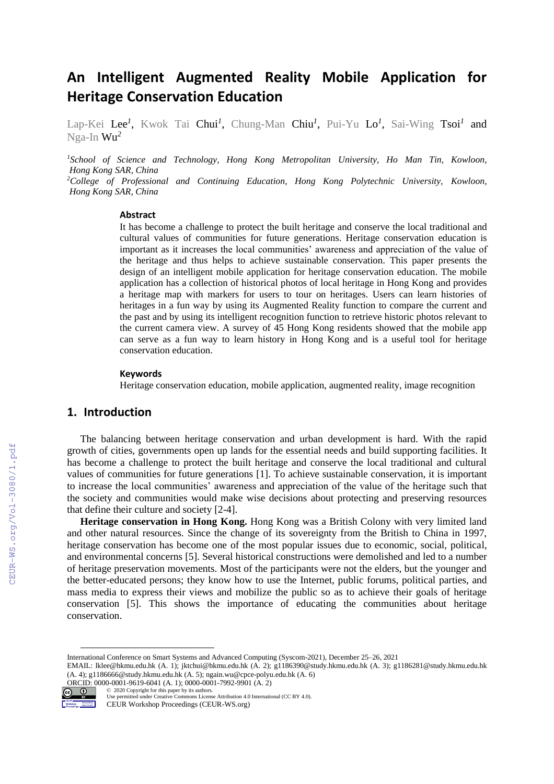# **An Intelligent Augmented Reality Mobile Application for Heritage Conservation Education**

Lap-Kei Lee*<sup>1</sup>* , Kwok Tai Chui*<sup>1</sup>* , Chung-Man Chiu *1* , Pui-Yu Lo*<sup>1</sup>* , Sai-Wing Tsoi*<sup>1</sup>* and Nga-In Wu*<sup>2</sup>*

*<sup>1</sup>School of Science and Technology, Hong Kong Metropolitan University, Ho Man Tin, Kowloon, Hong Kong SAR, China <sup>2</sup>College of Professional and Continuing Education, Hong Kong Polytechnic University, Kowloon, Hong Kong SAR, China*

#### **Abstract**

It has become a challenge to protect the built heritage and conserve the local traditional and cultural values of communities for future generations. Heritage conservation education is important as it increases the local communities' awareness and appreciation of the value of the heritage and thus helps to achieve sustainable conservation. This paper presents the design of an intelligent mobile application for heritage conservation education. The mobile application has a collection of historical photos of local heritage in Hong Kong and provides a heritage map with markers for users to tour on heritages. Users can learn histories of heritages in a fun way by using its Augmented Reality function to compare the current and the past and by using its intelligent recognition function to retrieve historic photos relevant to the current camera view. A survey of 45 Hong Kong residents showed that the mobile app can serve as a fun way to learn history in Hong Kong and is a useful tool for heritage conservation education.

#### **Keywords 1**

Heritage conservation education, mobile application, augmented reality, image recognition

### **1. Introduction**

The balancing between heritage conservation and urban development is hard. With the rapid growth of cities, governments open up lands for the essential needs and build supporting facilities. It has become a challenge to protect the built heritage and conserve the local traditional and cultural values of communities for future generations [1]. To achieve sustainable conservation, it is important to increase the local communities' awareness and appreciation of the value of the heritage such that the society and communities would make wise decisions about protecting and preserving resources that define their culture and society [2-4].

**Heritage conservation in Hong Kong.** Hong Kong was a British Colony with very limited land and other natural resources. Since the change of its sovereignty from the British to China in 1997, heritage conservation has become one of the most popular issues due to economic, social, political, and environmental concerns [5]. Several historical constructions were demolished and led to a number of heritage preservation movements. Most of the participants were not the elders, but the younger and the better-educated persons; they know how to use the Internet, public forums, political parties, and mass media to express their views and mobilize the public so as to achieve their goals of heritage conservation [5]. This shows the importance of educating the communities about heritage conservation.

International Conference on Smart Systems and Advanced Computing (Syscom-2021), December 25–26, 2021

EMAIL: lklee@hkmu.edu.hk (A. 1); jktchui@hkmu.edu.hk (A. 2); g1186390@study.hkmu.edu.hk (A. 3); g1186281@study.hkmu.edu.hk (A. 4); g1186666@study.hkmu.edu.hk (A. 5); ngain.wu@cpce-polyu.edu.hk (A. 6) ORCID: 0000-0001-9619-6041 (A. 1); 0000-0001-7992-9901 (A. 2)



CEUR-WS.org/Vol-3080/1.pdf

<sup>©️</sup> 2020 Copyright for this paper by its authors. Use permitted under Creative Commons License Attribution 4.0 International (CC BY 4.0). CEUR Workshop Proceedings (CEUR-WS.org)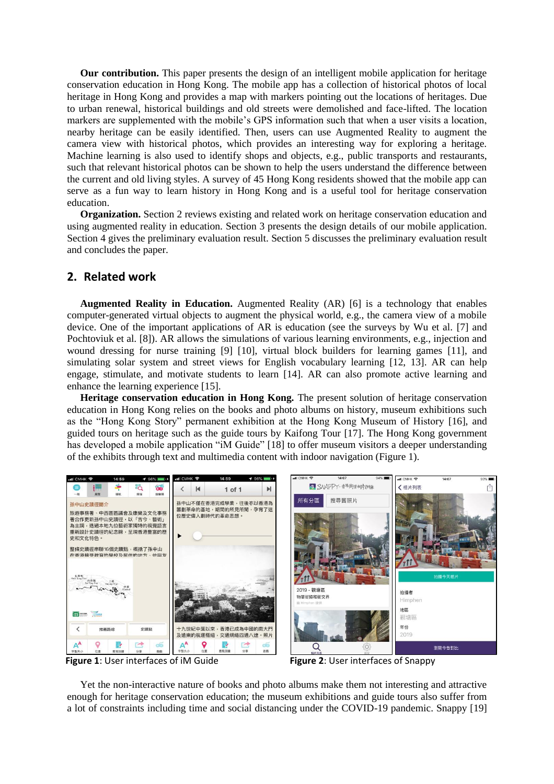**Our contribution.** This paper presents the design of an intelligent mobile application for heritage conservation education in Hong Kong. The mobile app has a collection of historical photos of local heritage in Hong Kong and provides a map with markers pointing out the locations of heritages. Due to urban renewal, historical buildings and old streets were demolished and face-lifted. The location markers are supplemented with the mobile's GPS information such that when a user visits a location, nearby heritage can be easily identified. Then, users can use Augmented Reality to augment the camera view with historical photos, which provides an interesting way for exploring a heritage. Machine learning is also used to identify shops and objects, e.g., public transports and restaurants, such that relevant historical photos can be shown to help the users understand the difference between the current and old living styles. A survey of 45 Hong Kong residents showed that the mobile app can serve as a fun way to learn history in Hong Kong and is a useful tool for heritage conservation education.

**Organization.** Section 2 reviews existing and related work on heritage conservation education and using augmented reality in education. Section 3 presents the design details of our mobile application. Section 4 gives the preliminary evaluation result. Section 5 discusses the preliminary evaluation result and concludes the paper.

### **2. Related work**

**Augmented Reality in Education.** Augmented Reality (AR) [6] is a technology that enables computer-generated virtual objects to augment the physical world, e.g., the camera view of a mobile device. One of the important applications of AR is education (see the surveys by Wu et al. [7] and Pochtoviuk et al. [8]). AR allows the simulations of various learning environments, e.g., injection and wound dressing for nurse training [9] [10], virtual block builders for learning games [11], and simulating solar system and street views for English vocabulary learning [12, 13]. AR can help engage, stimulate, and motivate students to learn [14]. AR can also promote active learning and enhance the learning experience [15].

**Heritage conservation education in Hong Kong.** The present solution of heritage conservation education in Hong Kong relies on the books and photo albums on history, museum exhibitions such as the "Hong Kong Story" permanent exhibition at the Hong Kong Museum of History [16], and guided tours on heritage such as the guide tours by Kaifong Tour [17]. The Hong Kong government has developed a mobile application "iM Guide" [18] to offer museum visitors a deeper understanding of the exhibits through text and multimedia content with indoor navigation (Figure 1).





Yet the non-interactive nature of books and photo albums make them not interesting and attractive enough for heritage conservation education; the museum exhibitions and guide tours also suffer from a lot of constraints including time and social distancing under the COVID-19 pandemic. Snappy [19]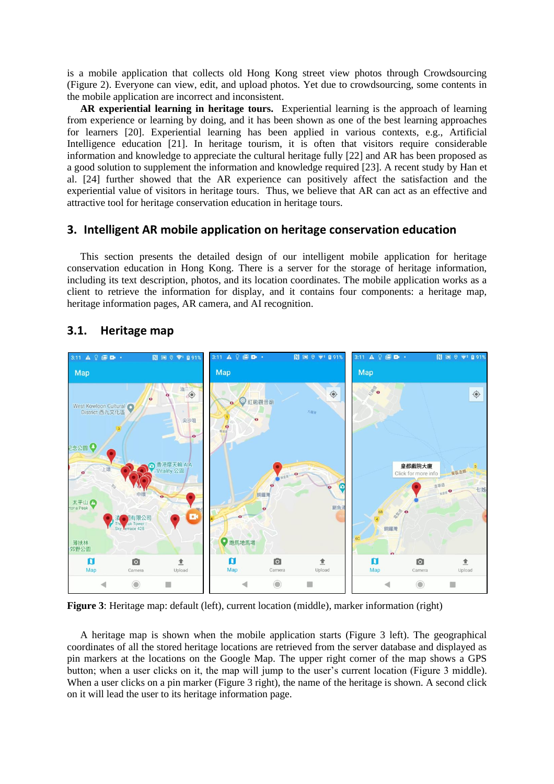is a mobile application that collects old Hong Kong street view photos through Crowdsourcing (Figure 2). Everyone can view, edit, and upload photos. Yet due to crowdsourcing, some contents in the mobile application are incorrect and inconsistent.

**AR experiential learning in heritage tours.** Experiential learning is the approach of learning from experience or learning by doing, and it has been shown as one of the best learning approaches for learners [20]. Experiential learning has been applied in various contexts, e.g., Artificial Intelligence education [21]. In heritage tourism, it is often that visitors require considerable information and knowledge to appreciate the cultural heritage fully [22] and AR has been proposed as a good solution to supplement the information and knowledge required [23]. A recent study by Han et al. [24] further showed that the AR experience can positively affect the satisfaction and the experiential value of visitors in heritage tours. Thus, we believe that AR can act as an effective and attractive tool for heritage conservation education in heritage tours.

#### **3. Intelligent AR mobile application on heritage conservation education**

This section presents the detailed design of our intelligent mobile application for heritage conservation education in Hong Kong. There is a server for the storage of heritage information, including its text description, photos, and its location coordinates. The mobile application works as a client to retrieve the information for display, and it contains four components: a heritage map, heritage information pages, AR camera, and AI recognition.



### **3.1. Heritage map**

**Figure 3**: Heritage map: default (left), current location (middle), marker information (right)

A heritage map is shown when the mobile application starts (Figure 3 left). The geographical coordinates of all the stored heritage locations are retrieved from the server database and displayed as pin markers at the locations on the Google Map. The upper right corner of the map shows a GPS button; when a user clicks on it, the map will jump to the user's current location (Figure 3 middle). When a user clicks on a pin marker (Figure 3 right), the name of the heritage is shown. A second click on it will lead the user to its heritage information page.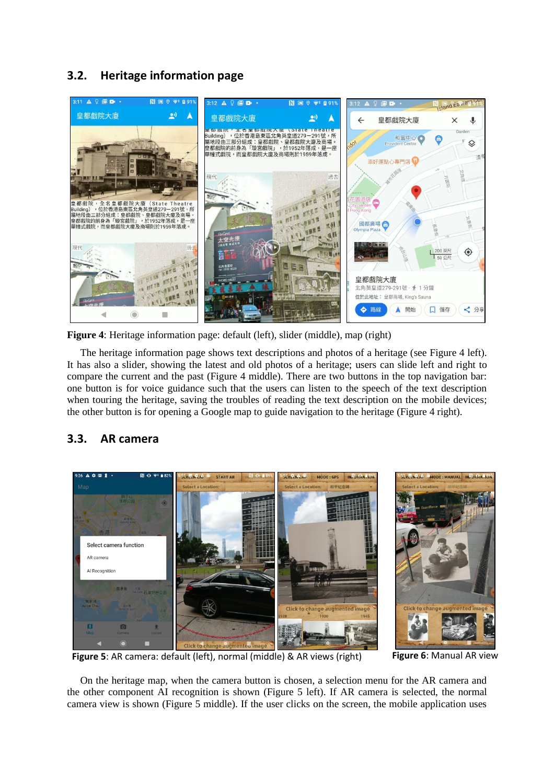## **3.2. Heritage information page**



**Figure 4**: Heritage information page: default (left), slider (middle), map (right)

The heritage information page shows text descriptions and photos of a heritage (see Figure 4 left). It has also a slider, showing the latest and old photos of a heritage; users can slide left and right to compare the current and the past (Figure 4 middle). There are two buttons in the top navigation bar: one button is for voice guidance such that the users can listen to the speech of the text description when touring the heritage, saving the troubles of reading the text description on the mobile devices; the other button is for opening a Google map to guide navigation to the heritage (Figure 4 right).

### **3.3. AR camera**



**Figure 5**: AR camera: default (left), normal (middle) & AR views (right) **Figure 6**: Manual AR view

On the heritage map, when the camera button is chosen, a selection menu for the AR camera and the other component AI recognition is shown (Figure 5 left). If AR camera is selected, the normal camera view is shown (Figure 5 middle). If the user clicks on the screen, the mobile application uses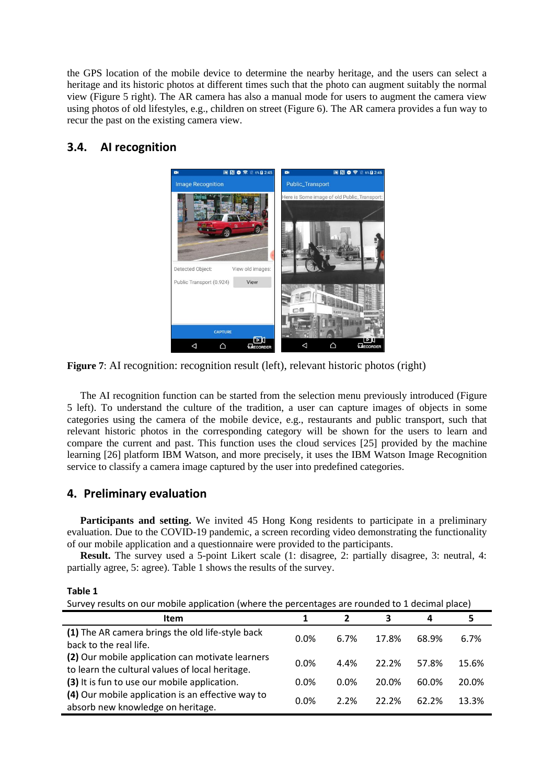the GPS location of the mobile device to determine the nearby heritage, and the users can select a heritage and its historic photos at different times such that the photo can augment suitably the normal view (Figure 5 right). The AR camera has also a manual mode for users to augment the camera view using photos of old lifestyles, e.g., children on street (Figure 6). The AR camera provides a fun way to recur the past on the existing camera view.

## **3.4. AI recognition**



**Figure 7**: AI recognition: recognition result (left), relevant historic photos (right)

The AI recognition function can be started from the selection menu previously introduced (Figure 5 left). To understand the culture of the tradition, a user can capture images of objects in some categories using the camera of the mobile device, e.g., restaurants and public transport, such that relevant historic photos in the corresponding category will be shown for the users to learn and compare the current and past. This function uses the cloud services [25] provided by the machine learning [26] platform IBM Watson, and more precisely, it uses the IBM Watson Image Recognition service to classify a camera image captured by the user into predefined categories.

### **4. Preliminary evaluation**

**Participants and setting.** We invited 45 Hong Kong residents to participate in a preliminary evaluation. Due to the COVID-19 pandemic, a screen recording video demonstrating the functionality of our mobile application and a questionnaire were provided to the participants.

**Result.** The survey used a 5-point Likert scale (1: disagree, 2: partially disagree, 3: neutral, 4: partially agree, 5: agree). [Table 1](#page-4-0) shows the results of the survey.

#### <span id="page-4-0"></span>**Table 1**

Survey results on our mobile application (where the percentages are rounded to 1 decimal place)

| <b>Item</b>                                                                                         |      |         | 3        | 4     | 5     |
|-----------------------------------------------------------------------------------------------------|------|---------|----------|-------|-------|
| (1) The AR camera brings the old life-style back<br>back to the real life.                          | 0.0% | 6.7%    | 17.8%    | 68.9% | 6.7%  |
| (2) Our mobile application can motivate learners<br>to learn the cultural values of local heritage. | 0.0% | 4.4%    | 22.2%    | 57.8% | 15.6% |
| (3) It is fun to use our mobile application.                                                        | 0.0% | $0.0\%$ | 20.0%    | 60.0% | 20.0% |
| (4) Our mobile application is an effective way to<br>absorb new knowledge on heritage.              | 0.0% | 2.2%    | $22.2\%$ | 62.2% | 13.3% |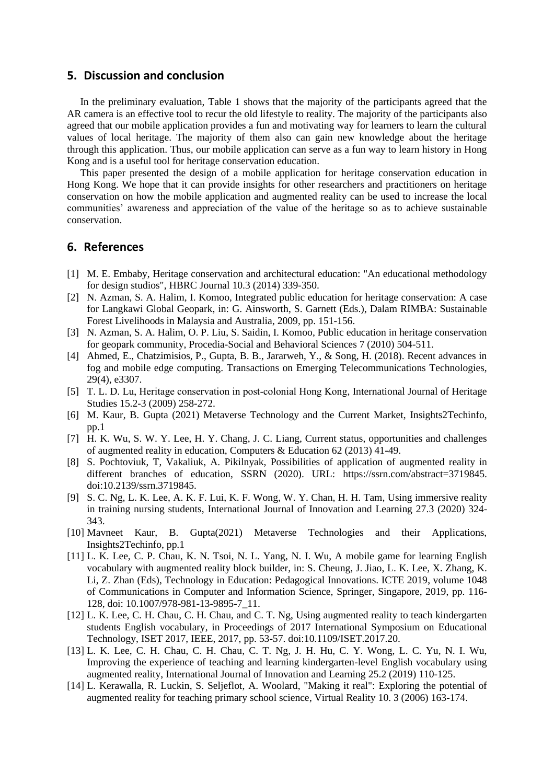### **5. Discussion and conclusion**

In the preliminary evaluation, [Table 1](#page-4-0) shows that the majority of the participants agreed that the AR camera is an effective tool to recur the old lifestyle to reality. The majority of the participants also agreed that our mobile application provides a fun and motivating way for learners to learn the cultural values of local heritage. The majority of them also can gain new knowledge about the heritage through this application. Thus, our mobile application can serve as a fun way to learn history in Hong Kong and is a useful tool for heritage conservation education.

This paper presented the design of a mobile application for heritage conservation education in Hong Kong. We hope that it can provide insights for other researchers and practitioners on heritage conservation on how the mobile application and augmented reality can be used to increase the local communities' awareness and appreciation of the value of the heritage so as to achieve sustainable conservation.

### **6. References**

- [1] M. E. Embaby, Heritage conservation and architectural education: "An educational methodology for design studios", HBRC Journal 10.3 (2014) 339-350.
- [2] N. Azman, S. A. Halim, I. Komoo, Integrated public education for heritage conservation: A case for Langkawi Global Geopark, in: G. Ainsworth, S. Garnett (Eds.), Dalam RIMBA: Sustainable Forest Livelihoods in Malaysia and Australia, 2009, pp. 151-156.
- [3] N. Azman, S. A. Halim, O. P. Liu, S. Saidin, I. Komoo, Public education in heritage conservation for geopark community, Procedia-Social and Behavioral Sciences 7 (2010) 504-511.
- [4] Ahmed, E., Chatzimisios, P., Gupta, B. B., Jararweh, Y., & Song, H. (2018). Recent advances in fog and mobile edge computing. Transactions on Emerging Telecommunications Technologies, 29(4), e3307.
- [5] T. L. D. Lu, Heritage conservation in post-colonial Hong Kong, International Journal of Heritage Studies 15.2-3 (2009) 258-272.
- [6] M. Kaur, B. Gupta (2021) Metaverse Technology and the Current Market, Insights2Techinfo, pp.1
- [7] H. K. Wu, S. W. Y. Lee, H. Y. Chang, J. C. Liang, Current status, opportunities and challenges of augmented reality in education, Computers & Education 62 (2013) 41-49.
- [8] S. Pochtoviuk, T, Vakaliuk, A. Pikilnyak, Possibilities of application of augmented reality in different branches of education, SSRN (2020). URL: https://ssrn.com/abstract=3719845. doi:10.2139/ssrn.3719845.
- [9] S. C. Ng, L. K. Lee, A. K. F. Lui, K. F. Wong, W. Y. Chan, H. H. Tam, Using immersive reality in training nursing students, International Journal of Innovation and Learning 27.3 (2020) 324- 343.
- [10] Mavneet Kaur, B. Gupta(2021) Metaverse Technologies and their Applications, Insights2Techinfo, pp.1
- [11] L. K. Lee, C. P. Chau, K. N. Tsoi, N. L. Yang, N. I. Wu, A mobile game for learning English vocabulary with augmented reality block builder, in: S. Cheung, J. Jiao, L. K. Lee, X. Zhang, K. Li, Z. Zhan (Eds), Technology in Education: Pedagogical Innovations. ICTE 2019, volume 1048 of Communications in Computer and Information Science, Springer, Singapore, 2019, pp. 116- 128, doi: 10.1007/978-981-13-9895-7\_11.
- [12] L. K. Lee, C. H. Chau, C. H. Chau, and C. T. Ng, Using augmented reality to teach kindergarten students English vocabulary, in Proceedings of 2017 International Symposium on Educational Technology, ISET 2017, IEEE, 2017, pp. 53-57. doi:10.1109/ISET.2017.20.
- [13] L. K. Lee, C. H. Chau, C. H. Chau, C. T. Ng, J. H. Hu, C. Y. Wong, L. C. Yu, N. I. Wu, Improving the experience of teaching and learning kindergarten-level English vocabulary using augmented reality, International Journal of Innovation and Learning 25.2 (2019) 110-125.
- [14] L. Kerawalla, R. Luckin, S. Seljeflot, A. Woolard, "Making it real": Exploring the potential of augmented reality for teaching primary school science, Virtual Reality 10. 3 (2006) 163-174.